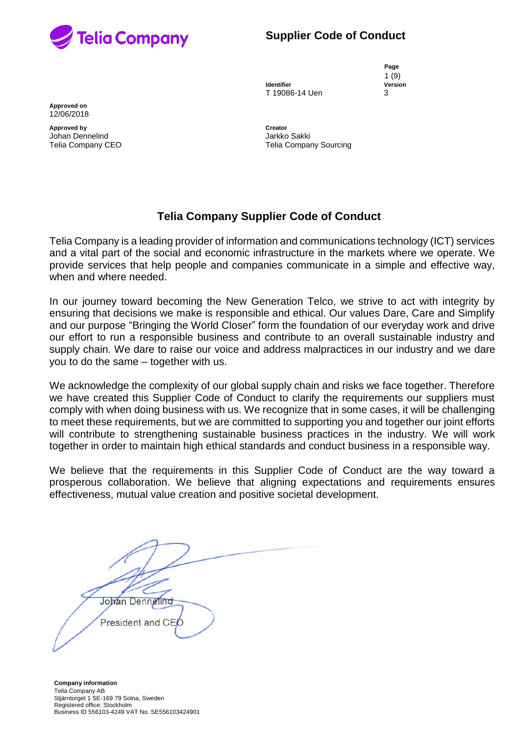

**Page** 1 (9)

**Identifier Version** T 19086-14 Uen 3

**Approved on** 12/06/2018

**Approved by Creator** Johan Dennelind Jarkko Sakki

Telia Company CEO **Telia Company Sourcing** 

# **Telia Company Supplier Code of Conduct**

Telia Company is a leading provider of information and communications technology (ICT) services and a vital part of the social and economic infrastructure in the markets where we operate. We provide services that help people and companies communicate in a simple and effective way, when and where needed.

In our journey toward becoming the New Generation Telco, we strive to act with integrity by ensuring that decisions we make is responsible and ethical. Our values Dare, Care and Simplify and our purpose "Bringing the World Closer" form the foundation of our everyday work and drive our effort to run a responsible business and contribute to an overall sustainable industry and supply chain. We dare to raise our voice and address malpractices in our industry and we dare you to do the same – together with us.

We acknowledge the complexity of our global supply chain and risks we face together. Therefore we have created this Supplier Code of Conduct to clarify the requirements our suppliers must comply with when doing business with us. We recognize that in some cases, it will be challenging to meet these requirements, but we are committed to supporting you and together our joint efforts will contribute to strengthening sustainable business practices in the industry. We will work together in order to maintain high ethical standards and conduct business in a responsible way.

We believe that the requirements in this Supplier Code of Conduct are the way toward a prosperous collaboration. We believe that aligning expectations and requirements ensures effectiveness, mutual value creation and positive societal development.

Johan Dennelind President and CEC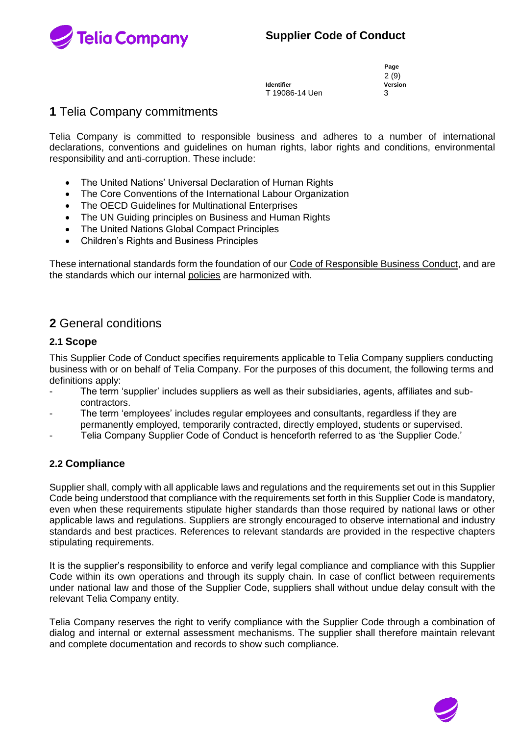

**Identifier Version** T 19086-14 Uen 3

**Page** 2 (9)

# **1** Telia Company commitments

Telia Company is committed to responsible business and adheres to a number of international declarations, conventions and guidelines on human rights, labor rights and conditions, environmental responsibility and anti-corruption. These include:

- The United Nations' Universal Declaration of Human Rights
- The Core Conventions of the International Labour Organization
- The OECD Guidelines for Multinational Enterprises
- The UN Guiding principles on Business and Human Rights
- The United Nations Global Compact Principles
- Children's Rights and Business Principles

These international standards form the foundation of our [Code of Responsible Business Conduct,](http://dontdothisatwork.teliacompany.com/) and are the standards which our internal [policies](https://www.teliacompany.com/en/about-the-company/public-policy/) are harmonized with.

# **2** General conditions

## **2.1 Scope**

This Supplier Code of Conduct specifies requirements applicable to Telia Company suppliers conducting business with or on behalf of Telia Company. For the purposes of this document, the following terms and definitions apply:

- The term 'supplier' includes suppliers as well as their subsidiaries, agents, affiliates and subcontractors.
- The term 'employees' includes regular employees and consultants, regardless if they are permanently employed, temporarily contracted, directly employed, students or supervised.
- Telia Company Supplier Code of Conduct is henceforth referred to as 'the Supplier Code.'

## **2.2 Compliance**

Supplier shall, comply with all applicable laws and regulations and the requirements set out in this Supplier Code being understood that compliance with the requirements set forth in this Supplier Code is mandatory, even when these requirements stipulate higher standards than those required by national laws or other applicable laws and regulations. Suppliers are strongly encouraged to observe international and industry standards and best practices. References to relevant standards are provided in the respective chapters stipulating requirements.

It is the supplier's responsibility to enforce and verify legal compliance and compliance with this Supplier Code within its own operations and through its supply chain. In case of conflict between requirements under national law and those of the Supplier Code, suppliers shall without undue delay consult with the relevant Telia Company entity.

Telia Company reserves the right to verify compliance with the Supplier Code through a combination of dialog and internal or external assessment mechanisms. The supplier shall therefore maintain relevant and complete documentation and records to show such compliance.

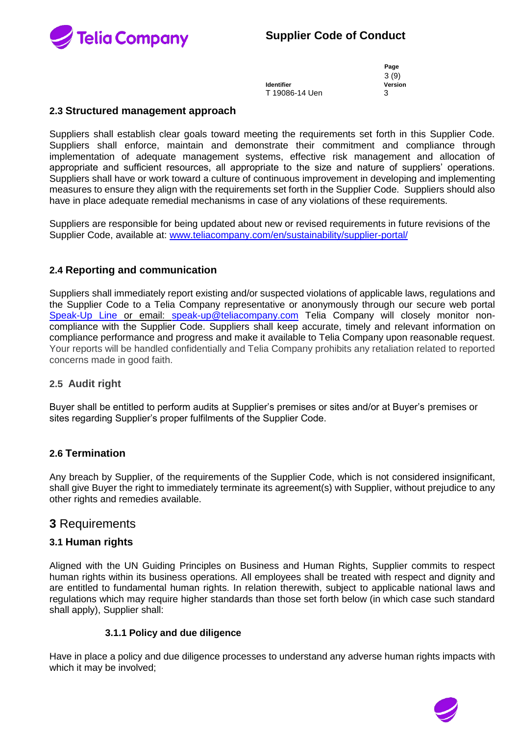

**Identifier Version** T 19086-14 Uen 3

**Page** 3 (9)

## **2.3 Structured management approach**

Suppliers shall establish clear goals toward meeting the requirements set forth in this Supplier Code. Suppliers shall enforce, maintain and demonstrate their commitment and compliance through implementation of adequate management systems, effective risk management and allocation of appropriate and sufficient resources, all appropriate to the size and nature of suppliers' operations. Suppliers shall have or work toward a culture of continuous improvement in developing and implementing measures to ensure they align with the requirements set forth in the Supplier Code. Suppliers should also have in place adequate remedial mechanisms in case of any violations of these requirements.

Suppliers are responsible for being updated about new or revised requirements in future revisions of the Supplier Code, available at: [www.teliacompany.com/en/sustainability/supplier-portal/](http://www.teliacompany.com/en/sustainability/supplier-portal/)

## **2.4 Reporting and communication**

Suppliers shall immediately report existing and/or suspected violations of applicable laws, regulations and the Supplier Code to a Telia Company representative or anonymously through our secure web portal [Speak-Up Line](https://secure.ethicspoint.eu/domain/media/en/gui/101615/index.html) or email: speak-up@teliacompany.com Telia Company will closely monitor noncompliance with the Supplier Code. Suppliers shall keep accurate, timely and relevant information on compliance performance and progress and make it available to Telia Company upon reasonable request. Your reports will be handled confidentially and Telia Company prohibits any retaliation related to reported concerns made in good faith.

## **2.5 Audit right**

Buyer shall be entitled to perform audits at Supplier's premises or sites and/or at Buyer's premises or sites regarding Supplier's proper fulfilments of the Supplier Code.

## **2.6 Termination**

Any breach by Supplier, of the requirements of the Supplier Code, which is not considered insignificant, shall give Buyer the right to immediately terminate its agreement(s) with Supplier, without prejudice to any other rights and remedies available.

## **3** Requirements

## **3.1 Human rights**

Aligned with the UN Guiding Principles on Business and Human Rights, Supplier commits to respect human rights within its business operations. All employees shall be treated with respect and dignity and are entitled to fundamental human rights. In relation therewith, subject to applicable national laws and regulations which may require higher standards than those set forth below (in which case such standard shall apply), Supplier shall:

#### **3.1.1 Policy and due diligence**

Have in place a policy and due diligence processes to understand any adverse human rights impacts with which it may be involved;

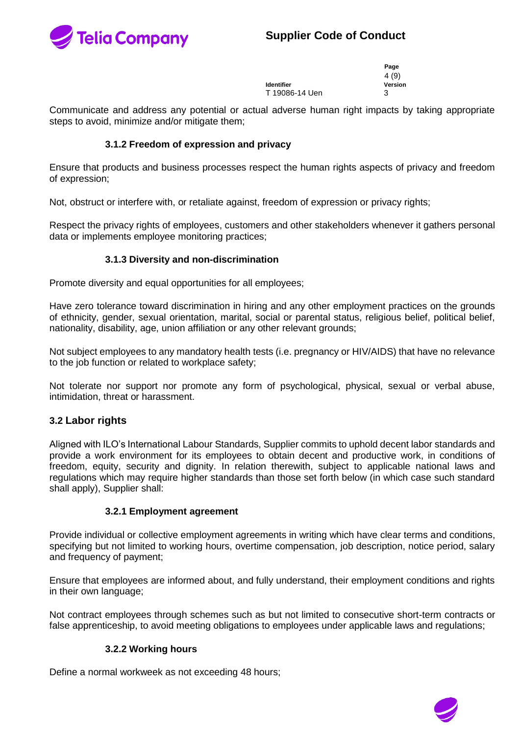



|                   | Page    |
|-------------------|---------|
|                   | 4 (9)   |
| <b>Identifier</b> | Version |
| T 19086-14 Uen    | 3       |

Communicate and address any potential or actual adverse human right impacts by taking appropriate steps to avoid, minimize and/or mitigate them;

## **3.1.2 Freedom of expression and privacy**

Ensure that products and business processes respect the human rights aspects of privacy and freedom of expression;

Not, obstruct or interfere with, or retaliate against, freedom of expression or privacy rights;

Respect the privacy rights of employees, customers and other stakeholders whenever it gathers personal data or implements employee monitoring practices;

## **3.1.3 Diversity and non-discrimination**

Promote diversity and equal opportunities for all employees;

Have zero tolerance toward discrimination in hiring and any other employment practices on the grounds of ethnicity, gender, sexual orientation, marital, social or parental status, religious belief, political belief, nationality, disability, age, union affiliation or any other relevant grounds;

Not subject employees to any mandatory health tests (i.e. pregnancy or HIV/AIDS) that have no relevance to the job function or related to workplace safety;

Not tolerate nor support nor promote any form of psychological, physical, sexual or verbal abuse, intimidation, threat or harassment.

## **3.2 Labor rights**

Aligned with ILO's International Labour Standards, Supplier commits to uphold decent labor standards and provide a work environment for its employees to obtain decent and productive work, in conditions of freedom, equity, security and dignity. In relation therewith, subject to applicable national laws and regulations which may require higher standards than those set forth below (in which case such standard shall apply), Supplier shall:

#### **3.2.1 Employment agreement**

Provide individual or collective employment agreements in writing which have clear terms and conditions, specifying but not limited to working hours, overtime compensation, job description, notice period, salary and frequency of payment;

Ensure that employees are informed about, and fully understand, their employment conditions and rights in their own language;

Not contract employees through schemes such as but not limited to consecutive short-term contracts or false apprenticeship, to avoid meeting obligations to employees under applicable laws and regulations;

#### **3.2.2 Working hours**

Define a normal workweek as not exceeding 48 hours;

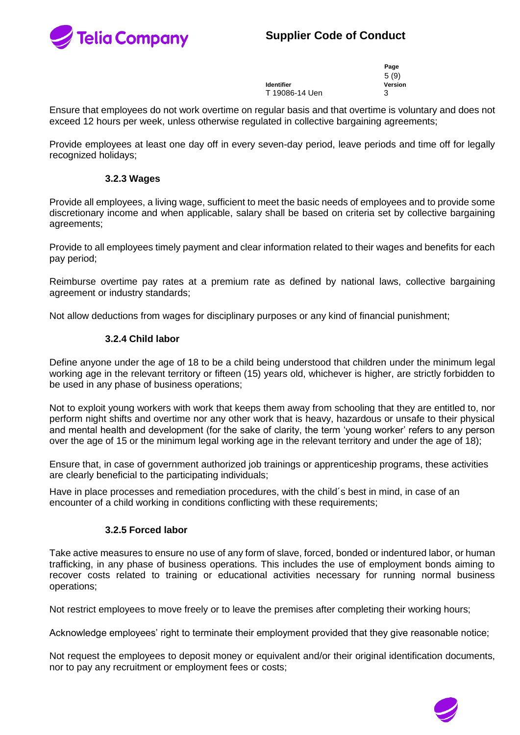



**Identifier Version** T 19086-14 Uen 3

5 (9)

**Page**

Ensure that employees do not work overtime on regular basis and that overtime is voluntary and does not exceed 12 hours per week, unless otherwise regulated in collective bargaining agreements;

Provide employees at least one day off in every seven-day period, leave periods and time off for legally recognized holidays;

#### **3.2.3 Wages**

Provide all employees, a living wage, sufficient to meet the basic needs of employees and to provide some discretionary income and when applicable, salary shall be based on criteria set by collective bargaining agreements;

Provide to all employees timely payment and clear information related to their wages and benefits for each pay period;

Reimburse overtime pay rates at a premium rate as defined by national laws, collective bargaining agreement or industry standards;

Not allow deductions from wages for disciplinary purposes or any kind of financial punishment;

## **3.2.4 Child labor**

Define anyone under the age of 18 to be a child being understood that children under the minimum legal working age in the relevant territory or fifteen (15) years old, whichever is higher, are strictly forbidden to be used in any phase of business operations;

Not to exploit young workers with work that keeps them away from schooling that they are entitled to, nor perform night shifts and overtime nor any other work that is heavy, hazardous or unsafe to their physical and mental health and development (for the sake of clarity, the term 'young worker' refers to any person over the age of 15 or the minimum legal working age in the relevant territory and under the age of 18);

Ensure that, in case of government authorized job trainings or apprenticeship programs, these activities are clearly beneficial to the participating individuals;

Have in place processes and remediation procedures, with the child´s best in mind, in case of an encounter of a child working in conditions conflicting with these requirements;

## **3.2.5 Forced labor**

Take active measures to ensure no use of any form of slave, forced, bonded or indentured labor, or human trafficking, in any phase of business operations. This includes the use of employment bonds aiming to recover costs related to training or educational activities necessary for running normal business operations;

Not restrict employees to move freely or to leave the premises after completing their working hours;

Acknowledge employees' right to terminate their employment provided that they give reasonable notice;

Not request the employees to deposit money or equivalent and/or their original identification documents, nor to pay any recruitment or employment fees or costs;

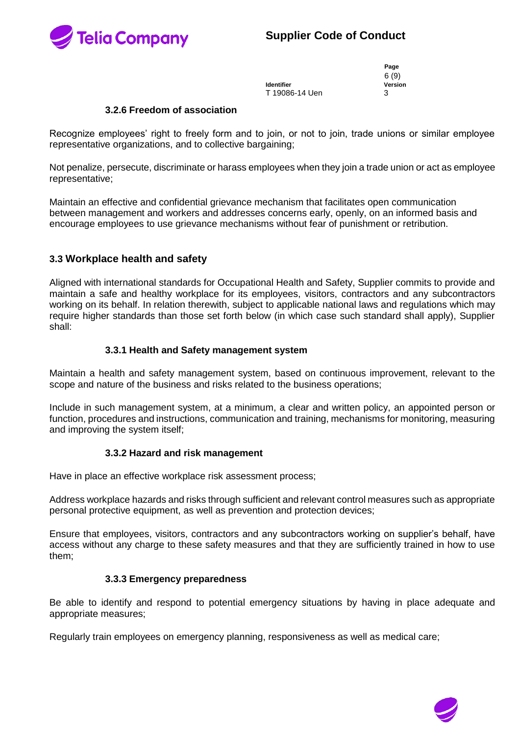

**Identifier Version** T 19086-14 Uen 3

**Page** 6 (9)

#### **3.2.6 Freedom of association**

Recognize employees' right to freely form and to join, or not to join, trade unions or similar employee representative organizations, and to collective bargaining;

Not penalize, persecute, discriminate or harass employees when they join a trade union or act as employee representative;

Maintain an effective and confidential grievance mechanism that facilitates open communication between management and workers and addresses concerns early, openly, on an informed basis and encourage employees to use grievance mechanisms without fear of punishment or retribution.

## **3.3 Workplace health and safety**

Aligned with international standards for Occupational Health and Safety, Supplier commits to provide and maintain a safe and healthy workplace for its employees, visitors, contractors and any subcontractors working on its behalf. In relation therewith, subject to applicable national laws and regulations which may require higher standards than those set forth below (in which case such standard shall apply), Supplier shall:

## **3.3.1 Health and Safety management system**

Maintain a health and safety management system, based on continuous improvement, relevant to the scope and nature of the business and risks related to the business operations;

Include in such management system, at a minimum, a clear and written policy, an appointed person or function, procedures and instructions, communication and training, mechanisms for monitoring, measuring and improving the system itself;

#### **3.3.2 Hazard and risk management**

Have in place an effective workplace risk assessment process;

Address workplace hazards and risks through sufficient and relevant control measures such as appropriate personal protective equipment, as well as prevention and protection devices;

Ensure that employees, visitors, contractors and any subcontractors working on supplier's behalf, have access without any charge to these safety measures and that they are sufficiently trained in how to use them;

#### **3.3.3 Emergency preparedness**

Be able to identify and respond to potential emergency situations by having in place adequate and appropriate measures;

Regularly train employees on emergency planning, responsiveness as well as medical care;

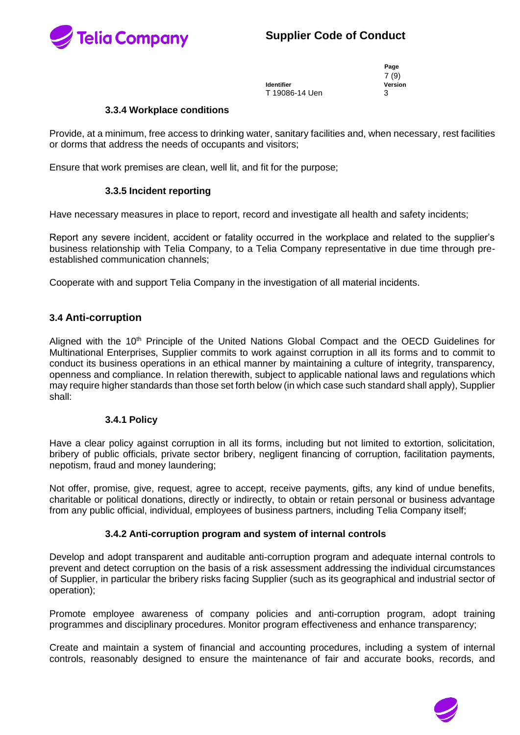

 7 (9) T 19086-14 Uen 3

**Page Version**<br>3

#### **3.3.4 Workplace conditions**

Provide, at a minimum, free access to drinking water, sanitary facilities and, when necessary, rest facilities or dorms that address the needs of occupants and visitors;

Ensure that work premises are clean, well lit, and fit for the purpose;

## **3.3.5 Incident reporting**

Have necessary measures in place to report, record and investigate all health and safety incidents;

Report any severe incident, accident or fatality occurred in the workplace and related to the supplier's business relationship with Telia Company, to a Telia Company representative in due time through preestablished communication channels;

Cooperate with and support Telia Company in the investigation of all material incidents.

## **3.4 Anti-corruption**

Aligned with the 10<sup>th</sup> Principle of the United Nations Global Compact and the OECD Guidelines for Multinational Enterprises, Supplier commits to work against corruption in all its forms and to commit to conduct its business operations in an ethical manner by maintaining a culture of integrity, transparency, openness and compliance. In relation therewith, subject to applicable national laws and regulations which may require higher standards than those set forth below (in which case such standard shall apply), Supplier shall:

#### **3.4.1 Policy**

Have a clear policy against corruption in all its forms, including but not limited to extortion, solicitation, bribery of public officials, private sector bribery, negligent financing of corruption, facilitation payments, nepotism, fraud and money laundering;

Not offer, promise, give, request, agree to accept, receive payments, gifts, any kind of undue benefits, charitable or political donations, directly or indirectly, to obtain or retain personal or business advantage from any public official, individual, employees of business partners, including Telia Company itself;

## **3.4.2 Anti-corruption program and system of internal controls**

Develop and adopt transparent and auditable anti-corruption program and adequate internal controls to prevent and detect corruption on the basis of a risk assessment addressing the individual circumstances of Supplier, in particular the bribery risks facing Supplier (such as its geographical and industrial sector of operation);

Promote employee awareness of company policies and anti-corruption program, adopt training programmes and disciplinary procedures. Monitor program effectiveness and enhance transparency;

Create and maintain a system of financial and accounting procedures, including a system of internal controls, reasonably designed to ensure the maintenance of fair and accurate books, records, and

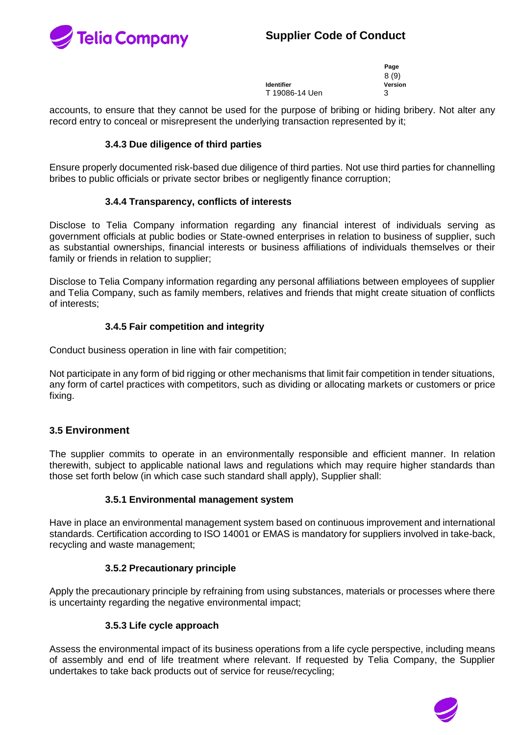

|                | Page    |
|----------------|---------|
|                | 8(9)    |
| ldentifier     | Version |
| T 19086-14 Uen | 3       |

accounts, to ensure that they cannot be used for the purpose of bribing or hiding bribery. Not alter any record entry to conceal or misrepresent the underlying transaction represented by it;

#### **3.4.3 Due diligence of third parties**

Ensure properly documented risk-based due diligence of third parties. Not use third parties for channelling bribes to public officials or private sector bribes or negligently finance corruption;

#### **3.4.4 Transparency, conflicts of interests**

Disclose to Telia Company information regarding any financial interest of individuals serving as government officials at public bodies or State-owned enterprises in relation to business of supplier, such as substantial ownerships, financial interests or business affiliations of individuals themselves or their family or friends in relation to supplier;

Disclose to Telia Company information regarding any personal affiliations between employees of supplier and Telia Company, such as family members, relatives and friends that might create situation of conflicts of interests;

## **3.4.5 Fair competition and integrity**

Conduct business operation in line with fair competition;

Not participate in any form of bid rigging or other mechanisms that limit fair competition in tender situations, any form of cartel practices with competitors, such as dividing or allocating markets or customers or price fixing.

## **3.5 Environment**

The supplier commits to operate in an environmentally responsible and efficient manner. In relation therewith, subject to applicable national laws and regulations which may require higher standards than those set forth below (in which case such standard shall apply), Supplier shall:

#### **3.5.1 Environmental management system**

Have in place an environmental management system based on continuous improvement and international standards. Certification according to ISO 14001 or EMAS is mandatory for suppliers involved in take-back, recycling and waste management;

#### **3.5.2 Precautionary principle**

Apply the precautionary principle by refraining from using substances, materials or processes where there is uncertainty regarding the negative environmental impact;

#### **3.5.3 Life cycle approach**

Assess the environmental impact of its business operations from a life cycle perspective, including means of assembly and end of life treatment where relevant. If requested by Telia Company, the Supplier undertakes to take back products out of service for reuse/recycling;